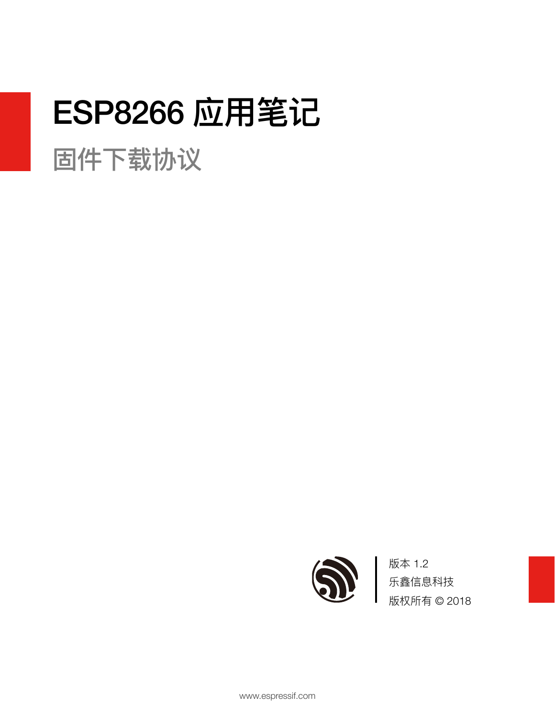# **ESP8266 应用笔记**

固件下载协议



版本 1.2 乐鑫信息科技 版权所有 © 2018

www.espressif.com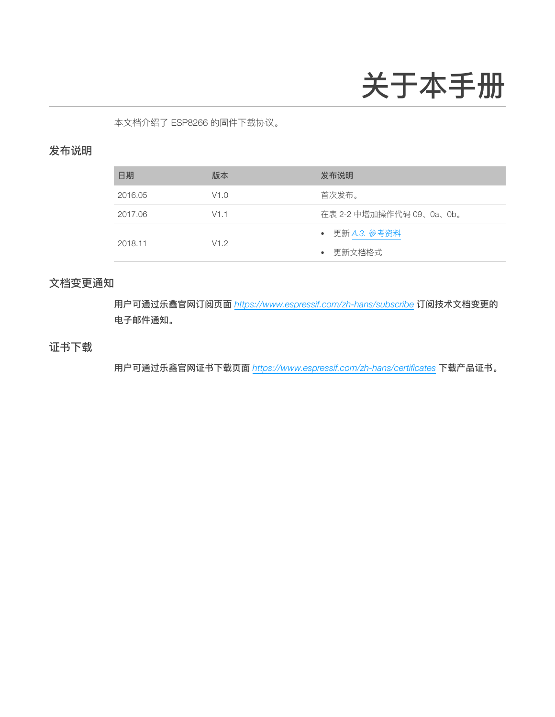# 关于本手册

本文档介绍了 ESP8266 的固件下载协议。

#### 发布说明

| 日期      | 版本   | 发布说明                     |
|---------|------|--------------------------|
| 2016.05 | V1.0 | 首次发布。                    |
| 2017.06 | V1.1 | 在表 2-2 中增加操作代码 09、0a、0b。 |
|         |      | ● 更新 A.3. 参考资料           |
| 2018.11 | V1.2 | • 更新文档格式                 |

#### ⽂档变更通知

用户可通过乐鑫官网订阅页面 <https://www.espressif.com/zh-hans/subscribe> 订阅技术文档变更的 电⼦邮件通知。

#### 证书下载

⽤户可通过乐鑫官⽹证书下载⻚⾯ *<https://www.espressif.com/zh-hans/certificates>* 下载产品证书。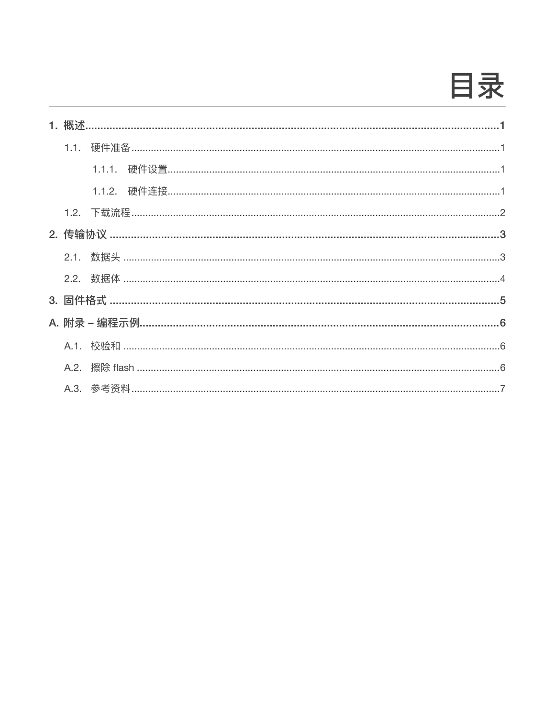目录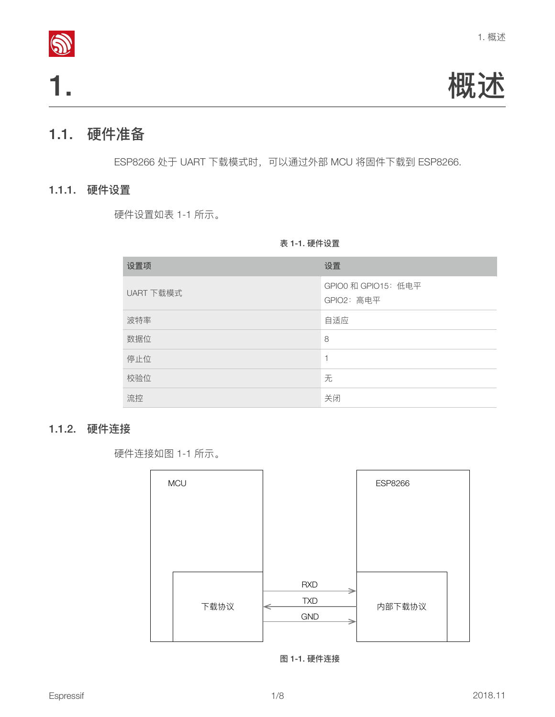

1. 概述

## <span id="page-3-1"></span>1.1. 硬件准备

<span id="page-3-2"></span>ESP8266 处于 UART 下载模式时,可以通过外部 MCU 将固件下载到 ESP8266.

#### 1.1.1. 硬件设置

硬件设置如表 1-1 所示。

#### <span id="page-3-0"></span>表 1-1. 硬件设置

| 设置项       | 设置                                |
|-----------|-----------------------------------|
| UART 下载模式 | GPIO0 和 GPIO15: 低电平<br>GPIO2: 高电平 |
| 波特率       | 自适应                               |
| 数据位       | 8                                 |
| 停止位       | 1                                 |
| 校验位       | 无                                 |
| 流控        | 关闭                                |

#### 1.1.2. 硬件连接

<span id="page-3-3"></span>硬件连接如图 1-1 所示。



图 1-1. 硬件连接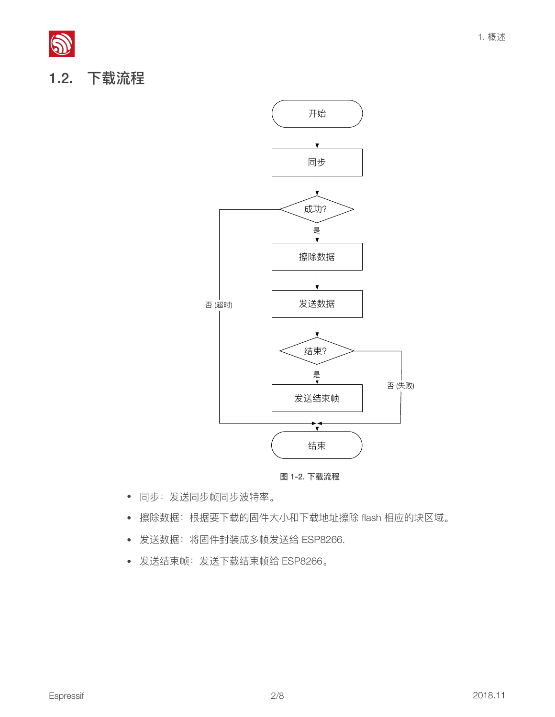<span id="page-4-0"></span>



图 1-2. 下载流程

- 同步:发送同步帧同步波特率。
- 擦除数据: 根据要下载的固件大小和下载地址擦除 flash 相应的块区域。
- 发送数据:将固件封装成多帧发送给 ESP8266.
- 发送结束帧:发送下载结束帧给 ESP8266。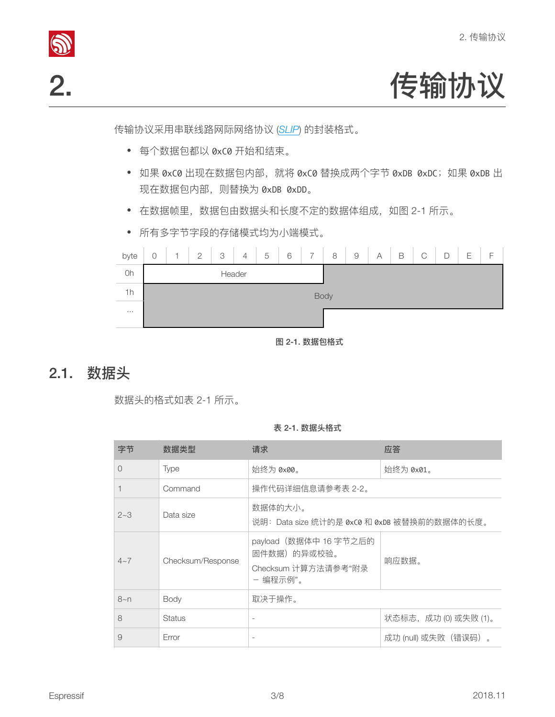



传输协议采⽤串联线路⽹际⽹络协议 (*[SLIP](https://en.wikipedia.org/wiki/SLIP)*) 的封装格式。

- <span id="page-5-0"></span>• 每个数据包都以 0xC0 开始和结束。
- 如果 0xC0 出现在数据包内部, 就将 0xC0 替换成两个字节 0xDB 0xDC; 如果 0xDB 出 现在数据包内部, 则替换为 0xDB 0xDD。
- 在数据帧里,数据包由数据头和长度不定的数据体组成,如图 2-1 所示。
- 所有多字节字段的存储模式均为⼩端模式。

| byte     | $\bigcirc$ | ł, | $\overline{2}$ | 3 | $\overline{4}$ | 5 | 6 | $\overline{7}$ | 8 | $\hbox{9}$ | A | B | $\mathsf{C}$ | D | Ε | $\overline{\phantom{0}}$ |
|----------|------------|----|----------------|---|----------------|---|---|----------------|---|------------|---|---|--------------|---|---|--------------------------|
| Oh       | Header     |    |                |   |                |   |   |                |   |            |   |   |              |   |   |                          |
| 1h       | Body       |    |                |   |                |   |   |                |   |            |   |   |              |   |   |                          |
| $\cdots$ |            |    |                |   |                |   |   |                |   |            |   |   |              |   |   |                          |

图 2-1. 数据包格式

## <span id="page-5-1"></span>2.1. 数据头

数据头的格式如表 2-1 所示。

表 2-1. 数据头格式

| 字节       | 数据类型              | 请求                                                                       | 应答                    |
|----------|-------------------|--------------------------------------------------------------------------|-----------------------|
| $\Omega$ | <b>Type</b>       | 始终为 0x00。                                                                | 始终为 0x01。             |
|          | Command           | 操作代码详细信息请参考表 2-2。                                                        |                       |
| $2 - 3$  | Data size         | 数据体的大小。<br>说明: Data size 统计的是 0xC0 和 0xDB 被替换前的数据体的长度。                   |                       |
| $4\sim7$ | Checksum/Response | payload (数据体中 16 字节之后的<br>固件数据)的异或校验。<br>Checksum 计算方法请参考"附录<br>- 编程示例"。 | 响应数据。                 |
| $8 - n$  | Body              | 取决于操作。                                                                   |                       |
| 8        | <b>Status</b>     | $\overline{\phantom{a}}$                                                 | 状态标志, 成功 (0) 或失败 (1)。 |
| 9        | Error             |                                                                          | 成功 (null) 或失败(错误码)。   |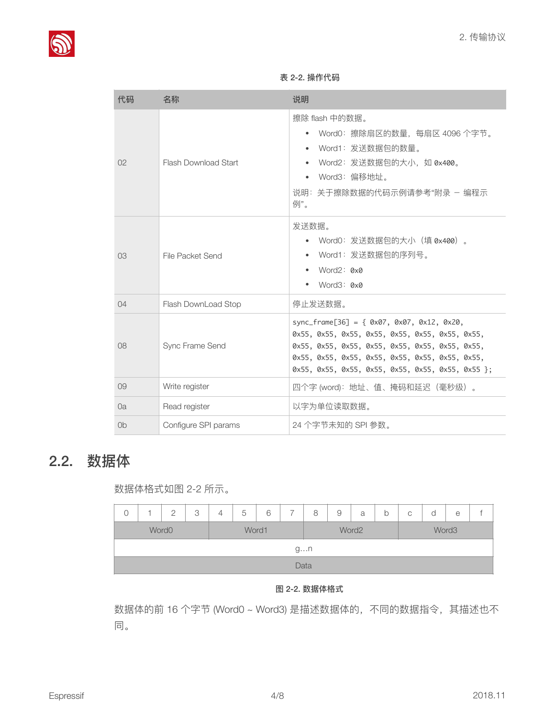

| 代码             | 名称                          | 说明                                                                                                   |  |  |  |  |  |  |
|----------------|-----------------------------|------------------------------------------------------------------------------------------------------|--|--|--|--|--|--|
|                |                             | 擦除 flash 中的数据。                                                                                       |  |  |  |  |  |  |
|                |                             | - Word0:擦除扇区的数量,每扇区 4096 个字节。                                                                        |  |  |  |  |  |  |
|                |                             | Word1: 发送数据包的数量。                                                                                     |  |  |  |  |  |  |
| O <sub>2</sub> | <b>Flash Download Start</b> | Word2: 发送数据包的大小,如 0x400。                                                                             |  |  |  |  |  |  |
|                |                             | Word3: 偏移地址。                                                                                         |  |  |  |  |  |  |
|                |                             | 说明:关于擦除数据的代码示例请参考"附录 - 编程示<br>例"。                                                                    |  |  |  |  |  |  |
|                |                             | 发送数据。                                                                                                |  |  |  |  |  |  |
|                | File Packet Send            | Word0: 发送数据包的大小(填 0x400)。                                                                            |  |  |  |  |  |  |
| O <sub>3</sub> |                             | Word1: 发送数据包的序列号。                                                                                    |  |  |  |  |  |  |
|                |                             | Word2: 0x0                                                                                           |  |  |  |  |  |  |
|                |                             | Word3: 0x0                                                                                           |  |  |  |  |  |  |
| $\Omega$       | Flash DownLoad Stop         | 停止发送数据。                                                                                              |  |  |  |  |  |  |
|                |                             | sync_frame[36] = { $0x07$ , $0x07$ , $0x12$ , $0x20$ ,                                               |  |  |  |  |  |  |
|                |                             | 0x55, 0x55, 0x55, 0x55, 0x55, 0x55, 0x55, 0x55,                                                      |  |  |  |  |  |  |
| 08             | Sync Frame Send             | 0x55, 0x55, 0x55, 0x55, 0x55, 0x55, 0x55, 0x55,                                                      |  |  |  |  |  |  |
|                |                             | 0x55, 0x55, 0x55, 0x55, 0x55, 0x55, 0x55, 0x55,<br>0x55, 0x55, 0x55, 0x55, 0x55, 0x55, 0x55, 0x55 }; |  |  |  |  |  |  |
|                |                             |                                                                                                      |  |  |  |  |  |  |
| 09             | Write register              | 四个字 (word): 地址、值、掩码和延迟(毫秒级)。                                                                         |  |  |  |  |  |  |
| Oa             | Read register               | 以字为单位读取数据。                                                                                           |  |  |  |  |  |  |
| 0 <sub>b</sub> | Configure SPI params        | 24 个字节未知的 SPI 参数。                                                                                    |  |  |  |  |  |  |

#### 表 2-2. 操作代码

# <span id="page-6-0"></span>2.2. 数据体

数据体格式如图 2-2 所示。

|                   |      | っ | 3 | 4 | 5     | 6 |  | 8 | 9 | a     | b | С     | d | e |  |
|-------------------|------|---|---|---|-------|---|--|---|---|-------|---|-------|---|---|--|
| Word <sub>0</sub> |      |   |   |   | Word1 |   |  |   |   | Word2 |   | Word3 |   |   |  |
|                   | gn   |   |   |   |       |   |  |   |   |       |   |       |   |   |  |
|                   | Data |   |   |   |       |   |  |   |   |       |   |       |   |   |  |

#### 图 2-2. 数据体格式

数据体的前 16 个字节 (Word0 ~ Word3) 是描述数据体的, 不同的数据指令, 其描述也不 同。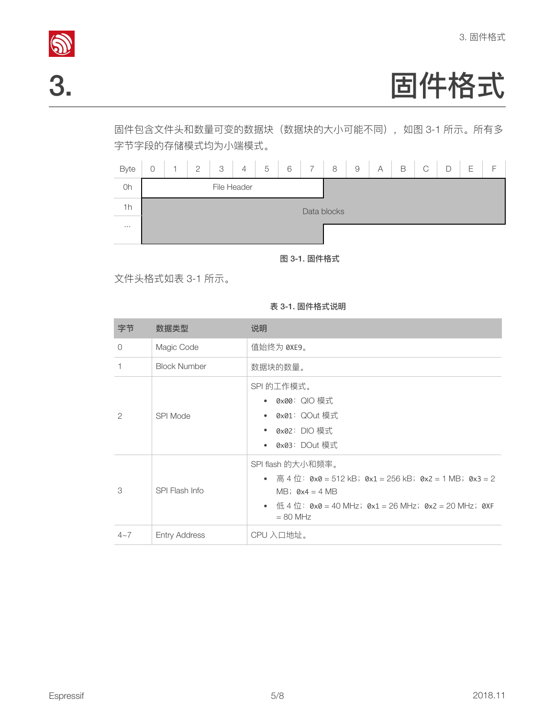

# <mark>◎</mark><br>3. 回件格式

固件包含⽂件头和数量可变的数据块(数据块的⼤⼩可能不同),如图 3-1 所示。所有多 字节字段的存储模式均为小端模式。



<span id="page-7-0"></span>图 3-1. 固件格式

⽂件头格式如表 3-1 所示。

表 3-1. 固件格式说明

| 字节             | 数据类型                 | 说明                                                                                                                                                                                      |
|----------------|----------------------|-----------------------------------------------------------------------------------------------------------------------------------------------------------------------------------------|
| $\bigcirc$     | Magic Code           | 值始终为 0XE9。                                                                                                                                                                              |
| 1              | <b>Block Number</b>  | 数据块的数量。                                                                                                                                                                                 |
| $\overline{2}$ | SPI Mode             | SPI 的工作模式。<br>• 0x00: QIO 模式<br>• 0x01: QOut 模式<br>• 0x02: DIO 模式<br>• 0x03: DOut 模式                                                                                                    |
| 3              | SPI Flash Info       | SPI flash 的大小和频率。<br>• 高 4 位: 0x0 = 512 kB; 0x1 = 256 kB; 0x2 = 1 MB; 0x3 = 2<br>MB; $\theta x4 = 4 MB$<br>• 低 4 位: $0x0 = 40$ MHz; $0x1 = 26$ MHz; $0x2 = 20$ MHz; $0xF$<br>$= 80$ MHz |
| $4 - 7$        | <b>Entry Address</b> | CPU 入口地址。                                                                                                                                                                               |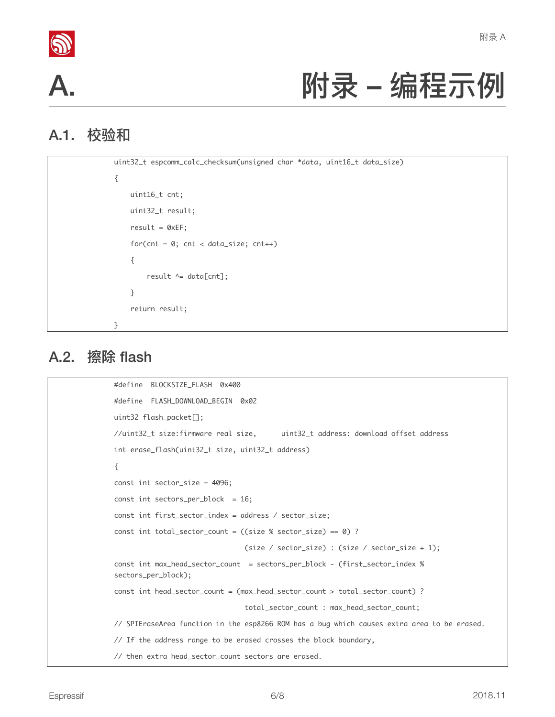



# <span id="page-8-0"></span>附录 – 编程示例

# A.1. 校验和

```
uint32_t	espcomm_calc_checksum(unsigned	char	*data,	uint16_t	data_size)

{

    uint16_t cnt;
				uint32_t	result;

    result = 0xEF;for(cnt = 0; cnt < data_size; cnt++)				{
								result	^=	data[cnt];

				}

    return result;
}
```
### A.2. 擦除 flash

```
#define BLOCKSIZE_FLASH 0x400
#define FLASH_DOWNLOAD_BEGIN 0x02
uint32	flash_packet[];
//uint32_t	size:firmware	real	size,	 	uint32_t	address:	download	offset	address

int erase_flash(uint32_t size, uint32_t address)
{

const int sector_size = 4096;
const int sectors_per_block = 16;
const int first_sector_index = address / sector_size;
const int total_sector_count = ((size % sector_size) == 0) ?
                                 (size \prime sector_size) : (size \prime sector_size + 1);
const int max_head_sector_count = sectors_per_block - (first_sector_index %
sectors_per_block);

const int head_sector_count = (max_head_sector_count > total_sector_count) ?
                                 																																total_sector_count	:	max_head_sector_count;
// SPIEraseArea function in the esp8266 ROM has a bug which causes extra area to be erased.
// If the address range to be erased crosses the block boundary,
// then extra head_sector_count sectors are erased.
```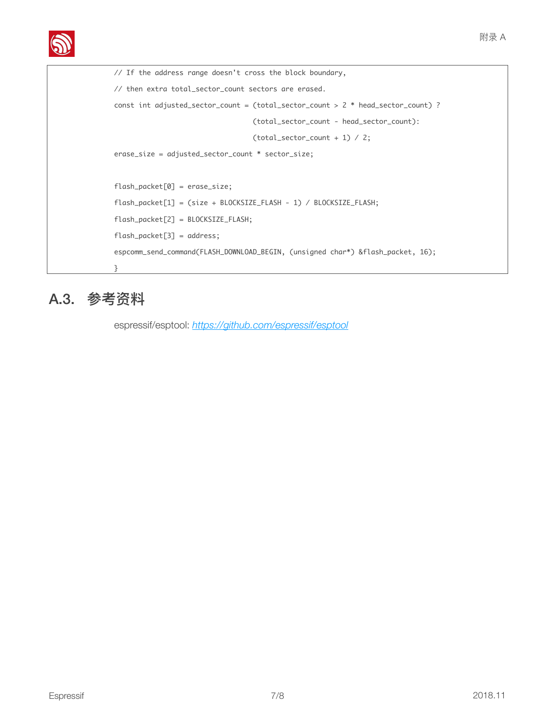```
// If the address range doesn't cross the block boundary,
// then extra total_sector_count sectors are erased.
const int adjusted_sector_count = (total_sector_count > 2 * head_sector_count) ?
(total_sector_count - head_sector_count):
(total\_sector\_count + 1) / 2;
erase_size	=	adjusted_sector_count	*	sector_size;

flash_packet[0]	=	erase_size;

flash_packet[1] = (size + BLOCKSIZE_FLASH - 1) / BLOCKSIZE_FLASH;
flash_packet[2]	=	BLOCKSIZE_FLASH;

flash_packet[3] = address;
espcomm_send_command(FLASH_DOWNLOAD_BEGIN, (unsigned char*) &flash_packet, 16);
}
```
# <span id="page-9-0"></span>A.3. 参考资料

espressif/esptool: *<https://github.com/espressif/esptool>*